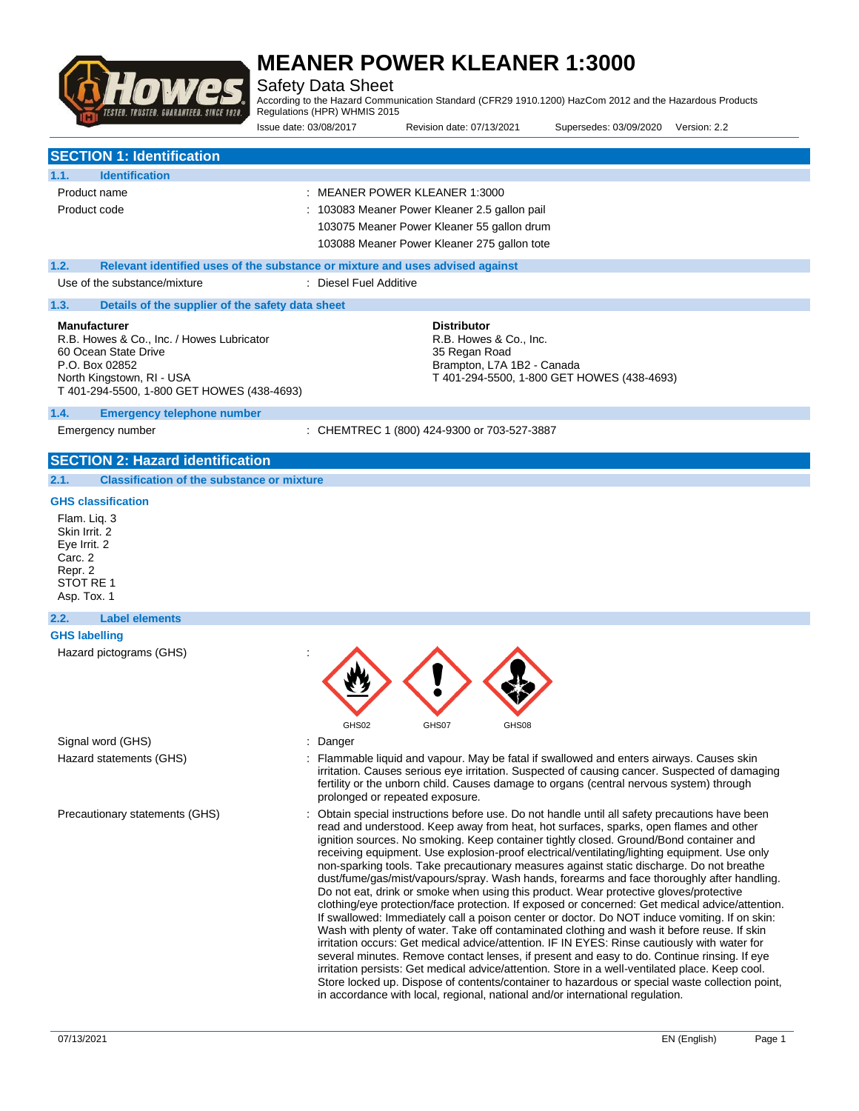

Safety Data Sheet

According to the Hazard Communication Standard (CFR29 1910.1200) HazCom 2012 and the Hazardous Products Regulations (HPR) WHMIS 2015

| ILƏILD. INUƏILD. DUANANILLD. ƏINGL 1320.                                                                                                                                              | Regulations (HFR) WHINIS 2013<br>Issue date: 03/08/2017 | Revision date: 07/13/2021                                                                                                                                                   | Supersedes: 03/09/2020                     | Version: 2.2 |
|---------------------------------------------------------------------------------------------------------------------------------------------------------------------------------------|---------------------------------------------------------|-----------------------------------------------------------------------------------------------------------------------------------------------------------------------------|--------------------------------------------|--------------|
| <b>SECTION 1: Identification</b>                                                                                                                                                      |                                                         |                                                                                                                                                                             |                                            |              |
| <b>Identification</b><br>1.1.                                                                                                                                                         |                                                         |                                                                                                                                                                             |                                            |              |
| Product name<br>Product code                                                                                                                                                          |                                                         | : MEANER POWER KLEANER 1:3000<br>: 103083 Meaner Power Kleaner 2.5 gallon pail<br>103075 Meaner Power Kleaner 55 gallon drum<br>103088 Meaner Power Kleaner 275 gallon tote |                                            |              |
| 1.2.<br>Relevant identified uses of the substance or mixture and uses advised against                                                                                                 |                                                         |                                                                                                                                                                             |                                            |              |
| Use of the substance/mixture                                                                                                                                                          | : Diesel Fuel Additive                                  |                                                                                                                                                                             |                                            |              |
| 1.3.<br>Details of the supplier of the safety data sheet                                                                                                                              |                                                         |                                                                                                                                                                             |                                            |              |
| <b>Manufacturer</b><br>R.B. Howes & Co., Inc. / Howes Lubricator<br>60 Ocean State Drive<br>P.O. Box 02852<br>North Kingstown, RI - USA<br>T 401-294-5500, 1-800 GET HOWES (438-4693) |                                                         | <b>Distributor</b><br>R.B. Howes & Co., Inc.<br>35 Regan Road<br>Brampton, L7A 1B2 - Canada                                                                                 | T 401-294-5500, 1-800 GET HOWES (438-4693) |              |
| 1.4.<br><b>Emergency telephone number</b>                                                                                                                                             |                                                         |                                                                                                                                                                             |                                            |              |
| Emergency number                                                                                                                                                                      |                                                         | : CHEMTREC 1 (800) 424-9300 or 703-527-3887                                                                                                                                 |                                            |              |
| <b>SECTION 2: Hazard identification</b>                                                                                                                                               |                                                         |                                                                                                                                                                             |                                            |              |
| <b>Classification of the substance or mixture</b><br>2.1.                                                                                                                             |                                                         |                                                                                                                                                                             |                                            |              |
| <b>GHS classification</b><br>Flam. Lig. 3<br>Skin Irrit. 2<br>Eye Irrit. 2<br>Carc. 2<br>Repr. 2<br>STOT RE 1<br>Asp. Tox. 1                                                          |                                                         |                                                                                                                                                                             |                                            |              |
| 2.2.<br><b>Label elements</b>                                                                                                                                                         |                                                         |                                                                                                                                                                             |                                            |              |
| <b>GHS labelling</b><br>Hazard pictograms (GHS)                                                                                                                                       | GHS02                                                   | GHS07<br>GHS08                                                                                                                                                              |                                            |              |

Signal word (GHS)  $\qquad \qquad$ : Danger

- Hazard statements (GHS) **in the statement of the CHS** is Flammable liquid and vapour. May be fatal if swallowed and enters airways. Causes skin irritation. Causes serious eye irritation. Suspected of causing cancer. Suspected of damaging fertility or the unborn child. Causes damage to organs (central nervous system) through prolonged or repeated exposure.
- Precautionary statements (GHS) : Obtain special instructions before use. Do not handle until all safety precautions have been read and understood. Keep away from heat, hot surfaces, sparks, open flames and other ignition sources. No smoking. Keep container tightly closed. Ground/Bond container and receiving equipment. Use explosion-proof electrical/ventilating/lighting equipment. Use only non-sparking tools. Take precautionary measures against static discharge. Do not breathe dust/fume/gas/mist/vapours/spray. Wash hands, forearms and face thoroughly after handling. Do not eat, drink or smoke when using this product. Wear protective gloves/protective clothing/eye protection/face protection. If exposed or concerned: Get medical advice/attention. If swallowed: Immediately call a poison center or doctor. Do NOT induce vomiting. If on skin: Wash with plenty of water. Take off contaminated clothing and wash it before reuse. If skin irritation occurs: Get medical advice/attention. IF IN EYES: Rinse cautiously with water for several minutes. Remove contact lenses, if present and easy to do. Continue rinsing. If eye irritation persists: Get medical advice/attention. Store in a well-ventilated place. Keep cool. Store locked up. Dispose of contents/container to hazardous or special waste collection point, in accordance with local, regional, national and/or international regulation.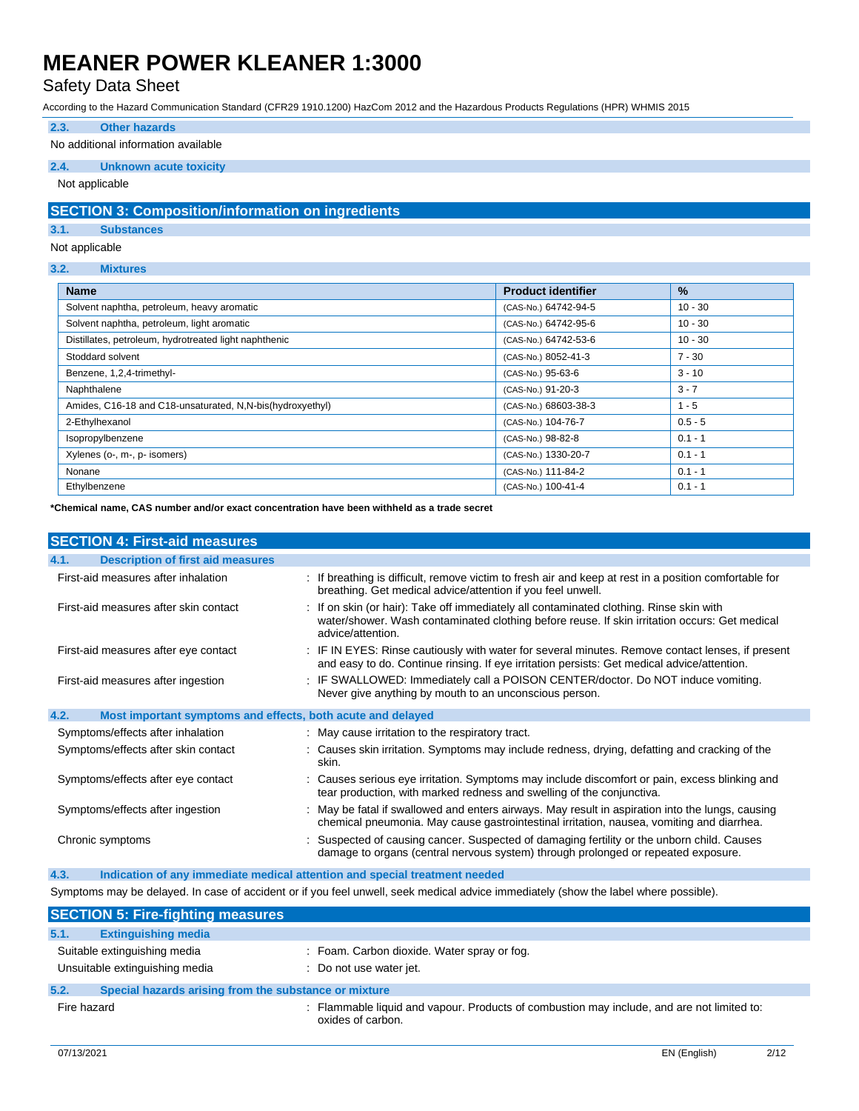### Safety Data Sheet

According to the Hazard Communication Standard (CFR29 1910.1200) HazCom 2012 and the Hazardous Products Regulations (HPR) WHMIS 2015

#### **2.3. Other hazards**

#### No additional information available

#### **2.4. Unknown acute toxicity**

Not applicable

#### **SECTION 3: Composition/information on ingredients**

#### **3.1. Substances**

#### Not applicable

#### **3.2. Mixtures**

| <b>Name</b>                                               | <b>Product identifier</b> | $\%$      |
|-----------------------------------------------------------|---------------------------|-----------|
| Solvent naphtha, petroleum, heavy aromatic                | (CAS-No.) 64742-94-5      | $10 - 30$ |
| Solvent naphtha, petroleum, light aromatic                | (CAS-No.) 64742-95-6      | $10 - 30$ |
| Distillates, petroleum, hydrotreated light naphthenic     | (CAS-No.) 64742-53-6      | $10 - 30$ |
| Stoddard solvent                                          | (CAS-No.) 8052-41-3       | $7 - 30$  |
| Benzene, 1,2,4-trimethyl-                                 | (CAS-No.) 95-63-6         | $3 - 10$  |
| Naphthalene                                               | (CAS-No.) 91-20-3         | $3 - 7$   |
| Amides, C16-18 and C18-unsaturated, N,N-bis(hydroxyethyl) | (CAS-No.) 68603-38-3      | $1 - 5$   |
| 2-Ethylhexanol                                            | (CAS-No.) 104-76-7        | $0.5 - 5$ |
| Isopropylbenzene                                          | (CAS-No.) 98-82-8         | $0.1 - 1$ |
| Xylenes (o-, m-, p- isomers)                              | (CAS-No.) 1330-20-7       | $0.1 - 1$ |
| Nonane                                                    | (CAS-No.) 111-84-2        | $0.1 - 1$ |
| Ethylbenzene                                              | (CAS-No.) 100-41-4        | $0.1 - 1$ |

**\*Chemical name, CAS number and/or exact concentration have been withheld as a trade secret**

| <b>SECTION 4: First-aid measures</b>                                |                                                                                                                                                                                                               |
|---------------------------------------------------------------------|---------------------------------------------------------------------------------------------------------------------------------------------------------------------------------------------------------------|
| <b>Description of first aid measures</b><br>4.1.                    |                                                                                                                                                                                                               |
| First-aid measures after inhalation                                 | : If breathing is difficult, remove victim to fresh air and keep at rest in a position comfortable for<br>breathing. Get medical advice/attention if you feel unwell.                                         |
| First-aid measures after skin contact                               | : If on skin (or hair): Take off immediately all contaminated clothing. Rinse skin with<br>water/shower. Wash contaminated clothing before reuse. If skin irritation occurs: Get medical<br>advice/attention. |
| First-aid measures after eye contact                                | : IF IN EYES: Rinse cautiously with water for several minutes. Remove contact lenses, if present<br>and easy to do. Continue rinsing. If eye irritation persists: Get medical advice/attention.               |
| First-aid measures after ingestion                                  | : IF SWALLOWED: Immediately call a POISON CENTER/doctor. Do NOT induce vomiting.<br>Never give anything by mouth to an unconscious person.                                                                    |
| 4.2.<br>Most important symptoms and effects, both acute and delayed |                                                                                                                                                                                                               |
| Symptoms/effects after inhalation                                   | : May cause irritation to the respiratory tract.                                                                                                                                                              |
| Symptoms/effects after skin contact                                 | : Causes skin irritation. Symptoms may include redness, drying, defatting and cracking of the<br>skin.                                                                                                        |
| Symptoms/effects after eye contact                                  | : Causes serious eye irritation. Symptoms may include discomfort or pain, excess blinking and<br>tear production, with marked redness and swelling of the conjunctiva.                                        |
| Symptoms/effects after ingestion                                    | : May be fatal if swallowed and enters airways. May result in aspiration into the lungs, causing<br>chemical pneumonia. May cause gastrointestinal irritation, nausea, vomiting and diarrhea.                 |
| Chronic symptoms                                                    | Suspected of causing cancer. Suspected of damaging fertility or the unborn child. Causes<br>damage to organs (central nervous system) through prolonged or repeated exposure.                                 |
| 4.3.                                                                | Indication of any immediate medical attention and special treatment needed                                                                                                                                    |

### Symptoms may be delayed. In case of accident or if you feel unwell, seek medical advice immediately (show the label where possible).

|             | <b>SECTION 5: Fire-fighting measures</b>                       |                         |                                             |                                                                                            |  |
|-------------|----------------------------------------------------------------|-------------------------|---------------------------------------------|--------------------------------------------------------------------------------------------|--|
| 5.1.        | <b>Extinguishing media</b>                                     |                         |                                             |                                                                                            |  |
|             | Suitable extinguishing media<br>Unsuitable extinguishing media | : Do not use water jet. | : Foam. Carbon dioxide. Water spray or fog. |                                                                                            |  |
| 5.2.        | Special hazards arising from the substance or mixture          |                         |                                             |                                                                                            |  |
| Fire hazard |                                                                | oxides of carbon.       |                                             | : Flammable liquid and vapour. Products of combustion may include, and are not limited to: |  |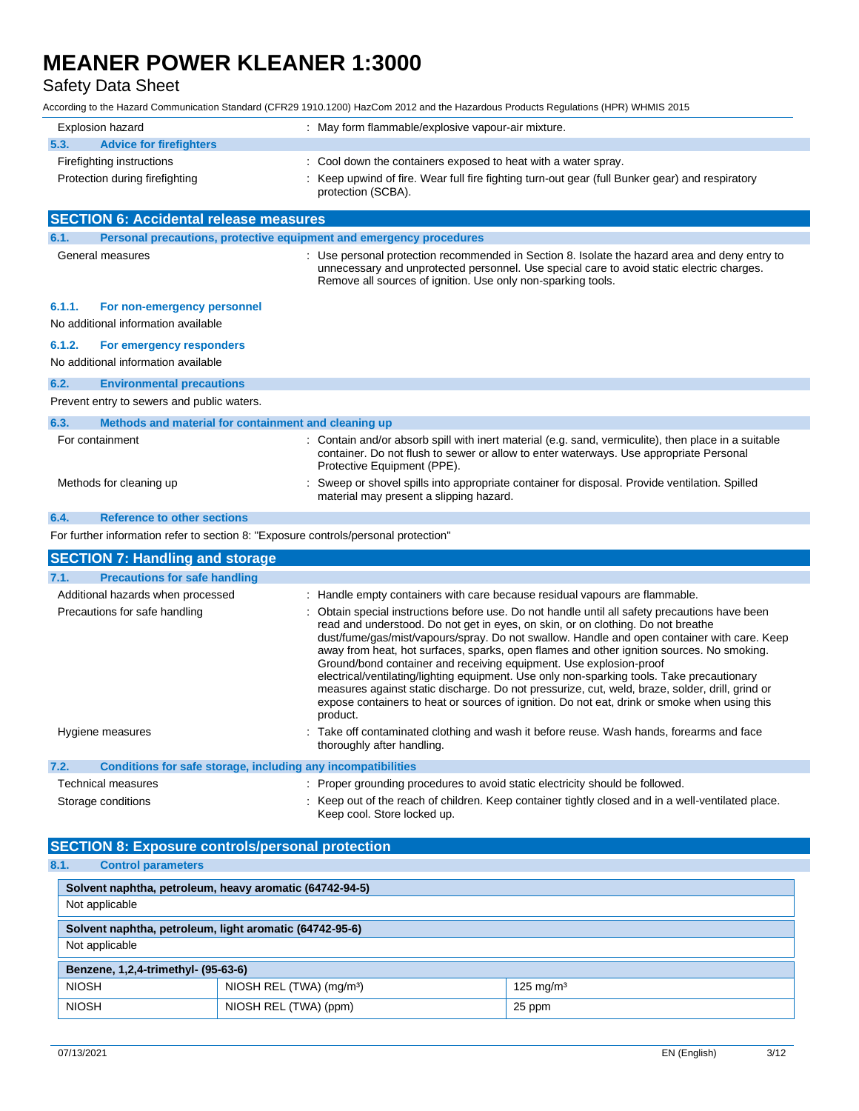### Safety Data Sheet

| <b>Explosion hazard</b>                                                             | : May form flammable/explosive vapour-air mixture.                                                                                                                                                                                                                                                                                                                                                                                                                                                                                                                                                                                                                                                                                                                                                                                               |
|-------------------------------------------------------------------------------------|--------------------------------------------------------------------------------------------------------------------------------------------------------------------------------------------------------------------------------------------------------------------------------------------------------------------------------------------------------------------------------------------------------------------------------------------------------------------------------------------------------------------------------------------------------------------------------------------------------------------------------------------------------------------------------------------------------------------------------------------------------------------------------------------------------------------------------------------------|
| 5.3.<br><b>Advice for firefighters</b>                                              |                                                                                                                                                                                                                                                                                                                                                                                                                                                                                                                                                                                                                                                                                                                                                                                                                                                  |
| Firefighting instructions<br>Protection during firefighting                         | : Cool down the containers exposed to heat with a water spray.<br>: Keep upwind of fire. Wear full fire fighting turn-out gear (full Bunker gear) and respiratory<br>protection (SCBA).                                                                                                                                                                                                                                                                                                                                                                                                                                                                                                                                                                                                                                                          |
| <b>SECTION 6: Accidental release measures</b>                                       |                                                                                                                                                                                                                                                                                                                                                                                                                                                                                                                                                                                                                                                                                                                                                                                                                                                  |
| 6.1.<br>Personal precautions, protective equipment and emergency procedures         |                                                                                                                                                                                                                                                                                                                                                                                                                                                                                                                                                                                                                                                                                                                                                                                                                                                  |
| General measures                                                                    | : Use personal protection recommended in Section 8. Isolate the hazard area and deny entry to<br>unnecessary and unprotected personnel. Use special care to avoid static electric charges.<br>Remove all sources of ignition. Use only non-sparking tools.                                                                                                                                                                                                                                                                                                                                                                                                                                                                                                                                                                                       |
| 6.1.1.<br>For non-emergency personnel<br>No additional information available        |                                                                                                                                                                                                                                                                                                                                                                                                                                                                                                                                                                                                                                                                                                                                                                                                                                                  |
| 6.1.2.<br>For emergency responders<br>No additional information available           |                                                                                                                                                                                                                                                                                                                                                                                                                                                                                                                                                                                                                                                                                                                                                                                                                                                  |
| 6.2.<br><b>Environmental precautions</b>                                            |                                                                                                                                                                                                                                                                                                                                                                                                                                                                                                                                                                                                                                                                                                                                                                                                                                                  |
| Prevent entry to sewers and public waters.                                          |                                                                                                                                                                                                                                                                                                                                                                                                                                                                                                                                                                                                                                                                                                                                                                                                                                                  |
| 6.3.<br>Methods and material for containment and cleaning up                        |                                                                                                                                                                                                                                                                                                                                                                                                                                                                                                                                                                                                                                                                                                                                                                                                                                                  |
| For containment                                                                     | : Contain and/or absorb spill with inert material (e.g. sand, vermiculite), then place in a suitable<br>container. Do not flush to sewer or allow to enter waterways. Use appropriate Personal<br>Protective Equipment (PPE).                                                                                                                                                                                                                                                                                                                                                                                                                                                                                                                                                                                                                    |
| Methods for cleaning up                                                             | : Sweep or shovel spills into appropriate container for disposal. Provide ventilation. Spilled<br>material may present a slipping hazard.                                                                                                                                                                                                                                                                                                                                                                                                                                                                                                                                                                                                                                                                                                        |
| <b>Reference to other sections</b><br>6.4.                                          |                                                                                                                                                                                                                                                                                                                                                                                                                                                                                                                                                                                                                                                                                                                                                                                                                                                  |
| For further information refer to section 8: "Exposure controls/personal protection" |                                                                                                                                                                                                                                                                                                                                                                                                                                                                                                                                                                                                                                                                                                                                                                                                                                                  |
| <b>SECTION 7: Handling and storage</b>                                              |                                                                                                                                                                                                                                                                                                                                                                                                                                                                                                                                                                                                                                                                                                                                                                                                                                                  |
| 7.1.<br><b>Precautions for safe handling</b>                                        |                                                                                                                                                                                                                                                                                                                                                                                                                                                                                                                                                                                                                                                                                                                                                                                                                                                  |
| Additional hazards when processed<br>Precautions for safe handling                  | : Handle empty containers with care because residual vapours are flammable.<br>: Obtain special instructions before use. Do not handle until all safety precautions have been<br>read and understood. Do not get in eyes, on skin, or on clothing. Do not breathe<br>dust/fume/gas/mist/vapours/spray. Do not swallow. Handle and open container with care. Keep<br>away from heat, hot surfaces, sparks, open flames and other ignition sources. No smoking.<br>Ground/bond container and receiving equipment. Use explosion-proof<br>electrical/ventilating/lighting equipment. Use only non-sparking tools. Take precautionary<br>measures against static discharge. Do not pressurize, cut, weld, braze, solder, drill, grind or<br>expose containers to heat or sources of ignition. Do not eat, drink or smoke when using this<br>product. |
| Hygiene measures                                                                    | : Take off contaminated clothing and wash it before reuse. Wash hands, forearms and face<br>thoroughly after handling.                                                                                                                                                                                                                                                                                                                                                                                                                                                                                                                                                                                                                                                                                                                           |
| Conditions for safe storage, including any incompatibilities<br>7.2.                |                                                                                                                                                                                                                                                                                                                                                                                                                                                                                                                                                                                                                                                                                                                                                                                                                                                  |
| <b>Technical measures</b>                                                           | : Proper grounding procedures to avoid static electricity should be followed.                                                                                                                                                                                                                                                                                                                                                                                                                                                                                                                                                                                                                                                                                                                                                                    |
| Storage conditions                                                                  | : Keep out of the reach of children. Keep container tightly closed and in a well-ventilated place.<br>Keep cool. Store locked up.                                                                                                                                                                                                                                                                                                                                                                                                                                                                                                                                                                                                                                                                                                                |
| <b>SECTION 8: Exposure controls/personal protection</b>                             |                                                                                                                                                                                                                                                                                                                                                                                                                                                                                                                                                                                                                                                                                                                                                                                                                                                  |
| 8.1.<br><b>Control parameters</b>                                                   |                                                                                                                                                                                                                                                                                                                                                                                                                                                                                                                                                                                                                                                                                                                                                                                                                                                  |
|                                                                                     |                                                                                                                                                                                                                                                                                                                                                                                                                                                                                                                                                                                                                                                                                                                                                                                                                                                  |

| Solvent naphtha, petroleum, heavy aromatic (64742-94-5) |                                      |                      |
|---------------------------------------------------------|--------------------------------------|----------------------|
| Not applicable                                          |                                      |                      |
| Solvent naphtha, petroleum, light aromatic (64742-95-6) |                                      |                      |
| Not applicable                                          |                                      |                      |
| Benzene, 1,2,4-trimethyl- (95-63-6)                     |                                      |                      |
| <b>NIOSH</b>                                            | NIOSH REL (TWA) (mg/m <sup>3</sup> ) | $125 \text{ mg/m}^3$ |
| <b>NIOSH</b>                                            | NIOSH REL (TWA) (ppm)                | 25 ppm               |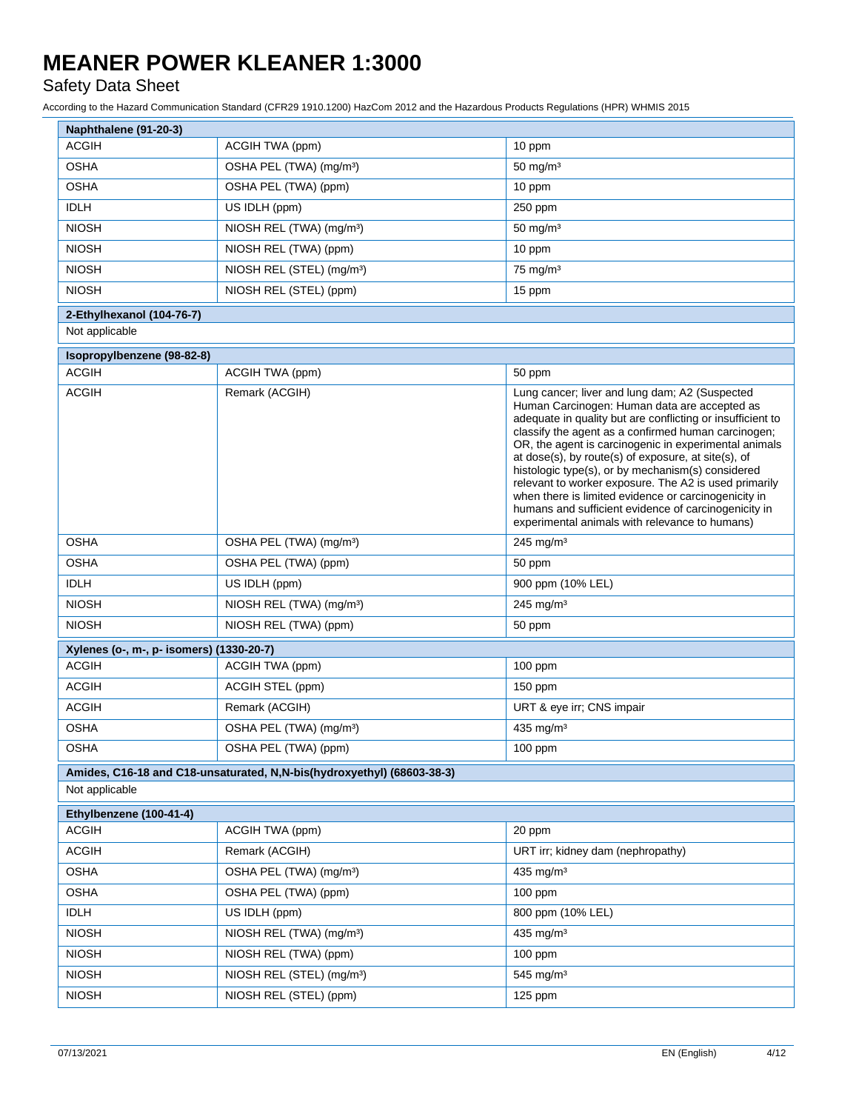### Safety Data Sheet

| Naphthalene (91-20-3)                    |                                                                        |                                                                                                                                                                                                                                                                                                                                                                                                                                                                                                                                                                                                                     |
|------------------------------------------|------------------------------------------------------------------------|---------------------------------------------------------------------------------------------------------------------------------------------------------------------------------------------------------------------------------------------------------------------------------------------------------------------------------------------------------------------------------------------------------------------------------------------------------------------------------------------------------------------------------------------------------------------------------------------------------------------|
| <b>ACGIH</b>                             | ACGIH TWA (ppm)                                                        | 10 ppm                                                                                                                                                                                                                                                                                                                                                                                                                                                                                                                                                                                                              |
| <b>OSHA</b>                              | OSHA PEL (TWA) (mg/m <sup>3</sup> )                                    | $50$ mg/m <sup>3</sup>                                                                                                                                                                                                                                                                                                                                                                                                                                                                                                                                                                                              |
| <b>OSHA</b>                              | OSHA PEL (TWA) (ppm)                                                   | 10 ppm                                                                                                                                                                                                                                                                                                                                                                                                                                                                                                                                                                                                              |
| <b>IDLH</b>                              | US IDLH (ppm)                                                          | 250 ppm                                                                                                                                                                                                                                                                                                                                                                                                                                                                                                                                                                                                             |
| <b>NIOSH</b>                             | NIOSH REL (TWA) (mg/m <sup>3</sup> )                                   | $50 \text{ mg/m}^3$                                                                                                                                                                                                                                                                                                                                                                                                                                                                                                                                                                                                 |
| <b>NIOSH</b>                             | NIOSH REL (TWA) (ppm)                                                  | 10 ppm                                                                                                                                                                                                                                                                                                                                                                                                                                                                                                                                                                                                              |
| <b>NIOSH</b>                             | NIOSH REL (STEL) (mg/m <sup>3</sup> )                                  | $75$ mg/m <sup>3</sup>                                                                                                                                                                                                                                                                                                                                                                                                                                                                                                                                                                                              |
| <b>NIOSH</b>                             | NIOSH REL (STEL) (ppm)                                                 | 15 ppm                                                                                                                                                                                                                                                                                                                                                                                                                                                                                                                                                                                                              |
| 2-Ethylhexanol (104-76-7)                |                                                                        |                                                                                                                                                                                                                                                                                                                                                                                                                                                                                                                                                                                                                     |
| Not applicable                           |                                                                        |                                                                                                                                                                                                                                                                                                                                                                                                                                                                                                                                                                                                                     |
| Isopropylbenzene (98-82-8)               |                                                                        |                                                                                                                                                                                                                                                                                                                                                                                                                                                                                                                                                                                                                     |
| <b>ACGIH</b>                             | ACGIH TWA (ppm)                                                        | 50 ppm                                                                                                                                                                                                                                                                                                                                                                                                                                                                                                                                                                                                              |
| <b>ACGIH</b>                             | Remark (ACGIH)                                                         | Lung cancer; liver and lung dam; A2 (Suspected<br>Human Carcinogen: Human data are accepted as<br>adequate in quality but are conflicting or insufficient to<br>classify the agent as a confirmed human carcinogen;<br>OR, the agent is carcinogenic in experimental animals<br>at dose(s), by route(s) of exposure, at site(s), of<br>histologic type(s), or by mechanism(s) considered<br>relevant to worker exposure. The A2 is used primarily<br>when there is limited evidence or carcinogenicity in<br>humans and sufficient evidence of carcinogenicity in<br>experimental animals with relevance to humans) |
| <b>OSHA</b>                              | OSHA PEL (TWA) (mg/m <sup>3</sup> )                                    | $245$ mg/m <sup>3</sup>                                                                                                                                                                                                                                                                                                                                                                                                                                                                                                                                                                                             |
| <b>OSHA</b>                              | OSHA PEL (TWA) (ppm)                                                   | 50 ppm                                                                                                                                                                                                                                                                                                                                                                                                                                                                                                                                                                                                              |
| <b>IDLH</b>                              | US IDLH (ppm)                                                          | 900 ppm (10% LEL)                                                                                                                                                                                                                                                                                                                                                                                                                                                                                                                                                                                                   |
| <b>NIOSH</b>                             | NIOSH REL (TWA) (mg/m <sup>3</sup> )                                   | $245$ mg/m <sup>3</sup>                                                                                                                                                                                                                                                                                                                                                                                                                                                                                                                                                                                             |
| <b>NIOSH</b>                             | NIOSH REL (TWA) (ppm)                                                  | 50 ppm                                                                                                                                                                                                                                                                                                                                                                                                                                                                                                                                                                                                              |
| Xylenes (o-, m-, p- isomers) (1330-20-7) |                                                                        |                                                                                                                                                                                                                                                                                                                                                                                                                                                                                                                                                                                                                     |
| <b>ACGIH</b>                             | ACGIH TWA (ppm)                                                        | $100$ ppm                                                                                                                                                                                                                                                                                                                                                                                                                                                                                                                                                                                                           |
| <b>ACGIH</b>                             | ACGIH STEL (ppm)                                                       | $150$ ppm                                                                                                                                                                                                                                                                                                                                                                                                                                                                                                                                                                                                           |
| <b>ACGIH</b>                             | Remark (ACGIH)                                                         | URT & eye irr; CNS impair                                                                                                                                                                                                                                                                                                                                                                                                                                                                                                                                                                                           |
| <b>OSHA</b>                              | OSHA PEL (TWA) (mg/m <sup>3</sup> )                                    | 435 mg/m <sup>3</sup>                                                                                                                                                                                                                                                                                                                                                                                                                                                                                                                                                                                               |
| <b>OSHA</b>                              | OSHA PEL (TWA) (ppm)                                                   | 100 ppm                                                                                                                                                                                                                                                                                                                                                                                                                                                                                                                                                                                                             |
|                                          | Amides, C16-18 and C18-unsaturated, N,N-bis(hydroxyethyl) (68603-38-3) |                                                                                                                                                                                                                                                                                                                                                                                                                                                                                                                                                                                                                     |
| Not applicable                           |                                                                        |                                                                                                                                                                                                                                                                                                                                                                                                                                                                                                                                                                                                                     |
| Ethylbenzene (100-41-4)                  |                                                                        |                                                                                                                                                                                                                                                                                                                                                                                                                                                                                                                                                                                                                     |
| <b>ACGIH</b>                             | ACGIH TWA (ppm)                                                        | 20 ppm                                                                                                                                                                                                                                                                                                                                                                                                                                                                                                                                                                                                              |
| <b>ACGIH</b>                             | Remark (ACGIH)                                                         | URT irr; kidney dam (nephropathy)                                                                                                                                                                                                                                                                                                                                                                                                                                                                                                                                                                                   |
| <b>OSHA</b>                              | OSHA PEL (TWA) (mg/m <sup>3</sup> )                                    | 435 mg/ $m3$                                                                                                                                                                                                                                                                                                                                                                                                                                                                                                                                                                                                        |
| <b>OSHA</b>                              | OSHA PEL (TWA) (ppm)                                                   | $100$ ppm                                                                                                                                                                                                                                                                                                                                                                                                                                                                                                                                                                                                           |
| <b>IDLH</b>                              | US IDLH (ppm)                                                          | 800 ppm (10% LEL)                                                                                                                                                                                                                                                                                                                                                                                                                                                                                                                                                                                                   |
| <b>NIOSH</b>                             | NIOSH REL (TWA) (mg/m <sup>3</sup> )                                   | 435 mg/ $m3$                                                                                                                                                                                                                                                                                                                                                                                                                                                                                                                                                                                                        |
| <b>NIOSH</b>                             | NIOSH REL (TWA) (ppm)                                                  | $100$ ppm                                                                                                                                                                                                                                                                                                                                                                                                                                                                                                                                                                                                           |
| <b>NIOSH</b>                             | NIOSH REL (STEL) (mg/m <sup>3</sup> )                                  | 545 mg/m <sup>3</sup>                                                                                                                                                                                                                                                                                                                                                                                                                                                                                                                                                                                               |
| <b>NIOSH</b>                             | NIOSH REL (STEL) (ppm)                                                 | 125 ppm                                                                                                                                                                                                                                                                                                                                                                                                                                                                                                                                                                                                             |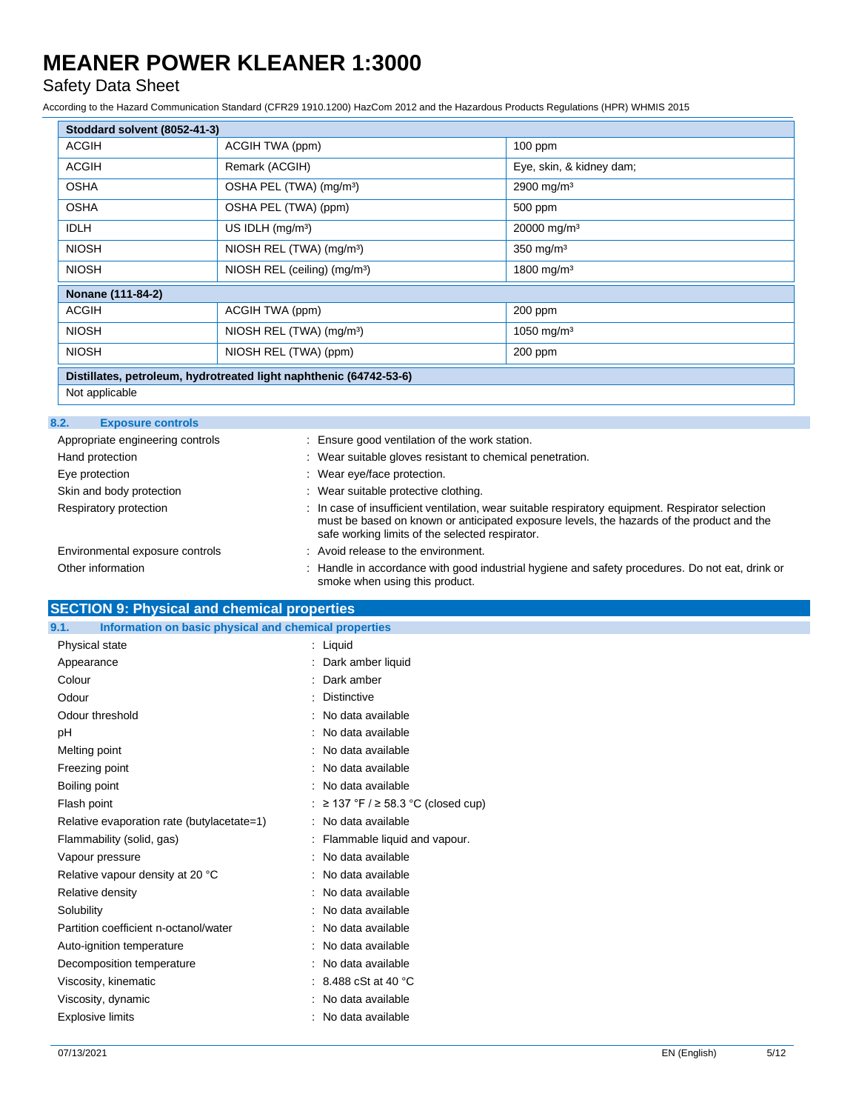### Safety Data Sheet

According to the Hazard Communication Standard (CFR29 1910.1200) HazCom 2012 and the Hazardous Products Regulations (HPR) WHMIS 2015

| Stoddard solvent (8052-41-3)                                       |                                          |                          |
|--------------------------------------------------------------------|------------------------------------------|--------------------------|
| <b>ACGIH</b>                                                       | ACGIH TWA (ppm)                          | $100$ ppm                |
| <b>ACGIH</b>                                                       | Remark (ACGIH)                           | Eye, skin, & kidney dam; |
| <b>OSHA</b>                                                        | OSHA PEL (TWA) (mg/m <sup>3</sup> )      | 2900 mg/m <sup>3</sup>   |
| <b>OSHA</b>                                                        | OSHA PEL (TWA) (ppm)                     | 500 ppm                  |
| <b>IDLH</b>                                                        | US IDLH $(mq/m3)$                        | 20000 mg/m <sup>3</sup>  |
| <b>NIOSH</b>                                                       | NIOSH REL (TWA) (mg/m <sup>3</sup> )     | 350 mg/m $3$             |
| <b>NIOSH</b>                                                       | NIOSH REL (ceiling) (mg/m <sup>3</sup> ) | 1800 mg/m <sup>3</sup>   |
| Nonane (111-84-2)                                                  |                                          |                          |
| <b>ACGIH</b>                                                       | ACGIH TWA (ppm)                          | 200 ppm                  |
| <b>NIOSH</b>                                                       | NIOSH REL (TWA) (mg/m <sup>3</sup> )     | 1050 mg/m <sup>3</sup>   |
| <b>NIOSH</b>                                                       | NIOSH REL (TWA) (ppm)                    | $200$ ppm                |
| Distillates, petroleum, hydrotreated light naphthenic (64742-53-6) |                                          |                          |

Not applicable

#### **8.2. Exposure controls**

| Appropriate engineering controls | : Ensure good ventilation of the work station.                                                                                                                                                                                                   |
|----------------------------------|--------------------------------------------------------------------------------------------------------------------------------------------------------------------------------------------------------------------------------------------------|
| Hand protection                  | : Wear suitable gloves resistant to chemical penetration.                                                                                                                                                                                        |
| Eye protection                   | : Wear eye/face protection.                                                                                                                                                                                                                      |
| Skin and body protection         | : Wear suitable protective clothing.                                                                                                                                                                                                             |
| Respiratory protection           | : In case of insufficient ventilation, wear suitable respiratory equipment. Respirator selection<br>must be based on known or anticipated exposure levels, the hazards of the product and the<br>safe working limits of the selected respirator. |
| Environmental exposure controls  | : Avoid release to the environment.                                                                                                                                                                                                              |
| Other information                | : Handle in accordance with good industrial hygiene and safety procedures. Do not eat, drink or<br>smoke when using this product.                                                                                                                |

### **SECTION 9: Physical and chemical properties**

| 9.1.<br>Information on basic physical and chemical properties |                                     |
|---------------------------------------------------------------|-------------------------------------|
| Physical state                                                | $:$ Liquid                          |
| Appearance                                                    | : Dark amber liquid                 |
| Colour                                                        | Dark amber                          |
| Odour                                                         | <b>Distinctive</b>                  |
| Odour threshold                                               | : No data available                 |
| pH                                                            | : No data available                 |
| Melting point                                                 | : No data available                 |
| Freezing point                                                | : No data available                 |
| Boiling point                                                 | : No data available                 |
| Flash point                                                   | : ≥ 137 °F / ≥ 58.3 °C (closed cup) |
| Relative evaporation rate (butylacetate=1)                    | : No data available                 |
| Flammability (solid, gas)                                     | : Flammable liquid and vapour.      |
| Vapour pressure                                               | : No data available                 |
| Relative vapour density at 20 °C                              | : No data available                 |
| Relative density                                              | : No data available                 |
| Solubility                                                    | : No data available                 |
| Partition coefficient n-octanol/water                         | : No data available                 |
| Auto-ignition temperature                                     | : No data available                 |
| Decomposition temperature                                     | : No data available                 |
| Viscosity, kinematic                                          | $: 8.488 \cSt$ at 40 °C             |
| Viscosity, dynamic                                            | : No data available                 |
| <b>Explosive limits</b>                                       | : No data available                 |
|                                                               |                                     |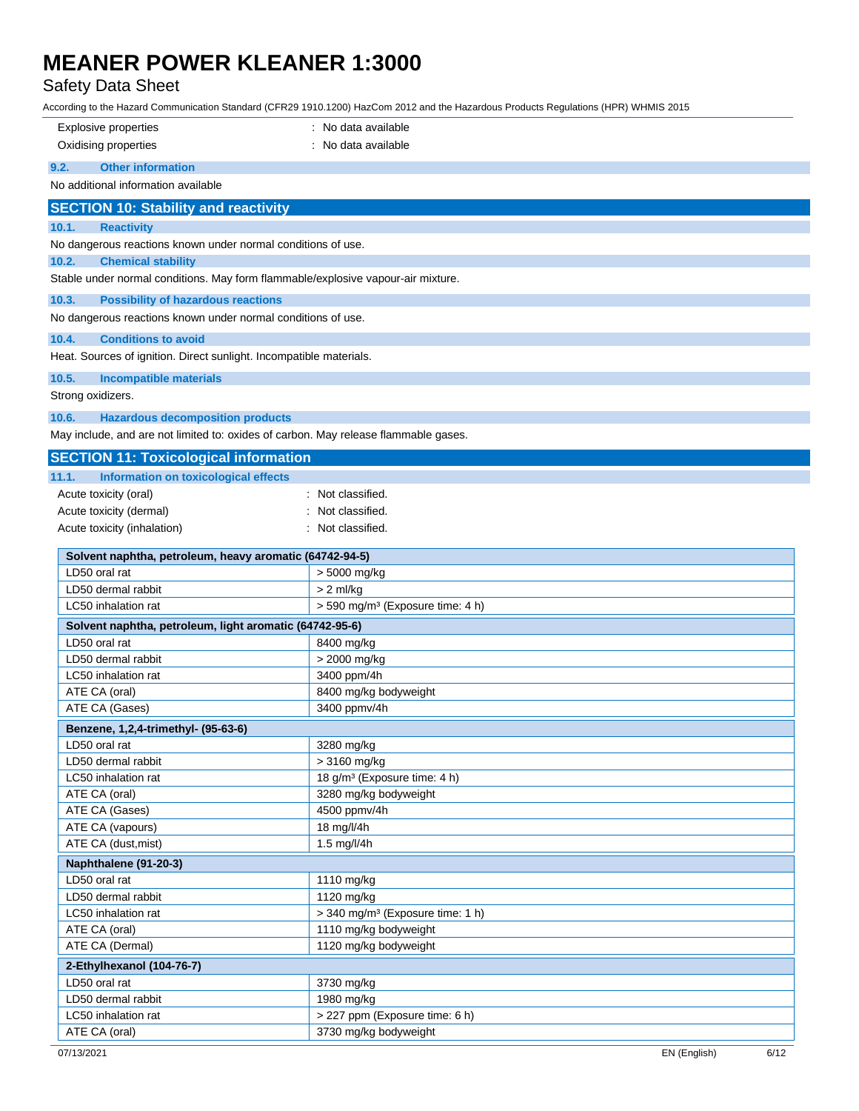### Safety Data Sheet

| <b>Explosive properties</b>                                                                                            | : No data available                          |
|------------------------------------------------------------------------------------------------------------------------|----------------------------------------------|
| Oxidising properties                                                                                                   | : No data available                          |
| <b>Other information</b><br>9.2.                                                                                       |                                              |
| No additional information available                                                                                    |                                              |
|                                                                                                                        |                                              |
| <b>SECTION 10: Stability and reactivity</b>                                                                            |                                              |
| <b>Reactivity</b><br>10.1.                                                                                             |                                              |
| No dangerous reactions known under normal conditions of use.                                                           |                                              |
| 10.2.<br><b>Chemical stability</b><br>Stable under normal conditions. May form flammable/explosive vapour-air mixture. |                                              |
|                                                                                                                        |                                              |
| 10.3.<br><b>Possibility of hazardous reactions</b>                                                                     |                                              |
| No dangerous reactions known under normal conditions of use.                                                           |                                              |
| 10.4.<br><b>Conditions to avoid</b>                                                                                    |                                              |
| Heat. Sources of ignition. Direct sunlight. Incompatible materials.                                                    |                                              |
| 10.5.<br>Incompatible materials                                                                                        |                                              |
| Strong oxidizers.                                                                                                      |                                              |
| 10.6.<br><b>Hazardous decomposition products</b>                                                                       |                                              |
| May include, and are not limited to: oxides of carbon. May release flammable gases.                                    |                                              |
| <b>SECTION 11: Toxicological information</b>                                                                           |                                              |
| Information on toxicological effects<br>11.1.                                                                          |                                              |
| Acute toxicity (oral)                                                                                                  | Not classified.                              |
| Acute toxicity (dermal)                                                                                                | Not classified.                              |
| Acute toxicity (inhalation)                                                                                            | Not classified.                              |
|                                                                                                                        |                                              |
| Solvent naphtha, petroleum, heavy aromatic (64742-94-5)                                                                |                                              |
| LD50 oral rat                                                                                                          | > 5000 mg/kg                                 |
| LD50 dermal rabbit                                                                                                     | $> 2$ ml/kg                                  |
| LC50 inhalation rat                                                                                                    | > 590 mg/m <sup>3</sup> (Exposure time: 4 h) |
| Solvent naphtha, petroleum, light aromatic (64742-95-6)                                                                |                                              |
| LD50 oral rat                                                                                                          | 8400 mg/kg                                   |
| LD50 dermal rabbit                                                                                                     | > 2000 mg/kg<br>3400 ppm/4h                  |
| LC50 inhalation rat<br>ATE CA (oral)                                                                                   | 8400 mg/kg bodyweight                        |
| ATE CA (Gases)                                                                                                         | 3400 ppmv/4h                                 |
| Benzene, 1,2,4-trimethyl- (95-63-6)                                                                                    |                                              |
| LD50 oral rat                                                                                                          | 3280 mg/kg                                   |
| LD50 dermal rabbit                                                                                                     | > 3160 mg/kg                                 |
| LC50 inhalation rat                                                                                                    | 18 g/m <sup>3</sup> (Exposure time: 4 h)     |
| ATE CA (oral)                                                                                                          | 3280 mg/kg bodyweight                        |
| ATE CA (Gases)                                                                                                         | 4500 ppmv/4h                                 |
| ATE CA (vapours)                                                                                                       | 18 mg/l/4h                                   |
| ATE CA (dust, mist)                                                                                                    | 1.5 mg/l/4h                                  |
| Naphthalene (91-20-3)                                                                                                  |                                              |
| LD50 oral rat                                                                                                          | 1110 mg/kg                                   |
| LD50 dermal rabbit                                                                                                     | 1120 mg/kg                                   |
| LC50 inhalation rat                                                                                                    | > 340 mg/m <sup>3</sup> (Exposure time: 1 h) |
| ATE CA (oral)                                                                                                          | 1110 mg/kg bodyweight                        |
| ATE CA (Dermal)                                                                                                        | 1120 mg/kg bodyweight                        |
| 2-Ethylhexanol (104-76-7)                                                                                              |                                              |
| LD50 oral rat                                                                                                          | 3730 mg/kg                                   |
| LD50 dermal rabbit                                                                                                     | 1980 mg/kg                                   |
| LC50 inhalation rat                                                                                                    | > 227 ppm (Exposure time: 6 h)               |
| ATE CA (oral)                                                                                                          | 3730 mg/kg bodyweight                        |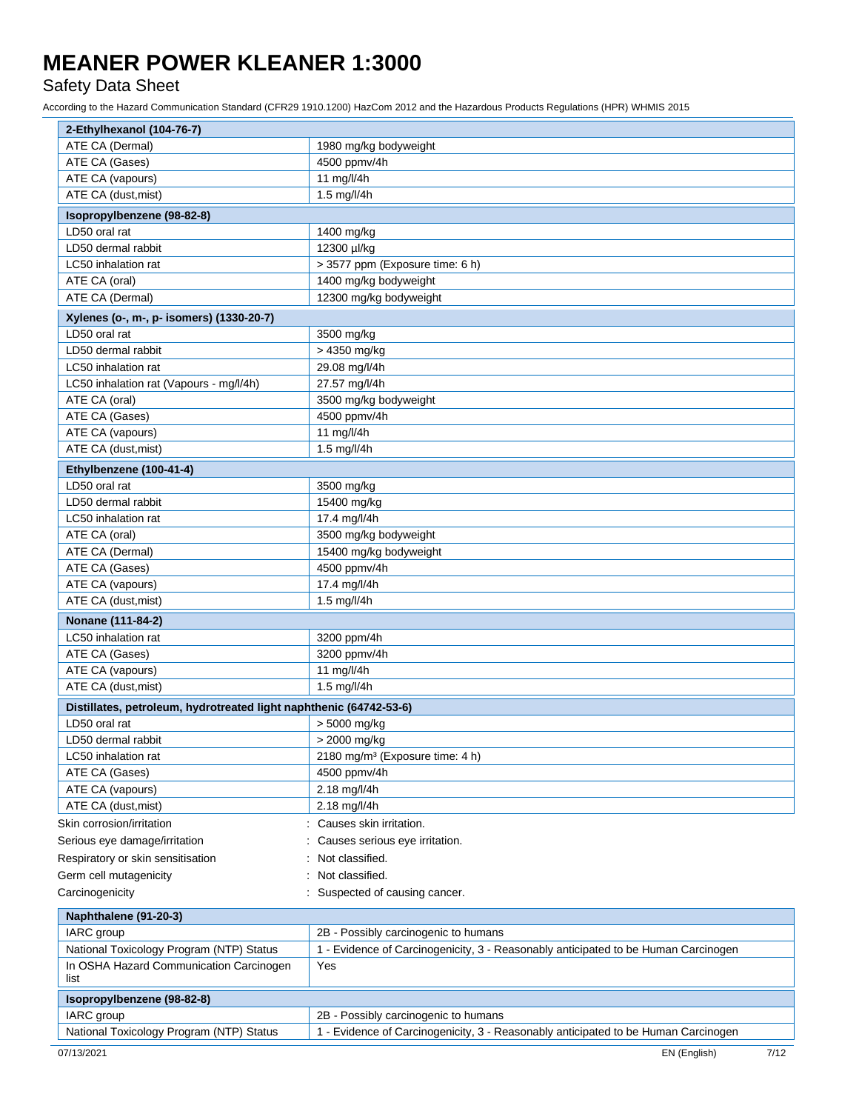### Safety Data Sheet

| 2-Ethylhexanol (104-76-7)                                          |                                                                                    |
|--------------------------------------------------------------------|------------------------------------------------------------------------------------|
| ATE CA (Dermal)                                                    | 1980 mg/kg bodyweight                                                              |
| ATE CA (Gases)                                                     | 4500 ppmv/4h                                                                       |
| ATE CA (vapours)                                                   | 11 mg/l/4h                                                                         |
| ATE CA (dust, mist)                                                | 1.5 mg/l/4h                                                                        |
| Isopropylbenzene (98-82-8)                                         |                                                                                    |
| LD50 oral rat                                                      | 1400 mg/kg                                                                         |
| LD50 dermal rabbit                                                 | 12300 µl/kg                                                                        |
| LC50 inhalation rat                                                | > 3577 ppm (Exposure time: 6 h)                                                    |
| ATE CA (oral)                                                      | 1400 mg/kg bodyweight                                                              |
| ATE CA (Dermal)                                                    | 12300 mg/kg bodyweight                                                             |
| Xylenes (o-, m-, p- isomers) (1330-20-7)                           |                                                                                    |
| LD50 oral rat                                                      | 3500 mg/kg                                                                         |
| LD50 dermal rabbit                                                 | > 4350 mg/kg                                                                       |
| LC50 inhalation rat                                                | 29.08 mg/l/4h                                                                      |
| LC50 inhalation rat (Vapours - mg/l/4h)                            | 27.57 mg/l/4h                                                                      |
| ATE CA (oral)                                                      | 3500 mg/kg bodyweight                                                              |
| ATE CA (Gases)                                                     | 4500 ppmv/4h                                                                       |
| ATE CA (vapours)                                                   | 11 mg/l/4h                                                                         |
| ATE CA (dust, mist)                                                | 1.5 mg/l/4h                                                                        |
| Ethylbenzene (100-41-4)                                            |                                                                                    |
| LD50 oral rat                                                      | 3500 mg/kg                                                                         |
| LD50 dermal rabbit                                                 | 15400 mg/kg                                                                        |
| LC50 inhalation rat                                                | 17.4 mg/l/4h                                                                       |
| ATE CA (oral)                                                      | 3500 mg/kg bodyweight                                                              |
| ATE CA (Dermal)                                                    | 15400 mg/kg bodyweight                                                             |
| ATE CA (Gases)                                                     | 4500 ppmv/4h                                                                       |
| ATE CA (vapours)                                                   | 17.4 mg/l/4h                                                                       |
| ATE CA (dust, mist)                                                | 1.5 mg/l/4h                                                                        |
| Nonane (111-84-2)                                                  |                                                                                    |
| LC50 inhalation rat                                                | 3200 ppm/4h                                                                        |
| ATE CA (Gases)                                                     | 3200 ppmv/4h                                                                       |
| ATE CA (vapours)                                                   | 11 mg/l/4h                                                                         |
| ATE CA (dust, mist)                                                | 1.5 mg/l/4h                                                                        |
| Distillates, petroleum, hydrotreated light naphthenic (64742-53-6) |                                                                                    |
| LD50 oral rat                                                      | > 5000 mg/kg                                                                       |
| LD50 dermal rabbit                                                 | > 2000 mg/kg                                                                       |
| LC50 inhalation rat                                                | 2180 mg/m <sup>3</sup> (Exposure time: 4 h)                                        |
| ATE CA (Gases)                                                     | 4500 ppmv/4h                                                                       |
| ATE CA (vapours)                                                   | 2.18 mg/l/4h                                                                       |
| ATE CA (dust, mist)                                                | 2.18 mg/l/4h                                                                       |
| Skin corrosion/irritation                                          | Causes skin irritation.                                                            |
| Serious eye damage/irritation                                      | Causes serious eye irritation.                                                     |
| Respiratory or skin sensitisation                                  | Not classified.                                                                    |
| Germ cell mutagenicity                                             | Not classified.                                                                    |
| Carcinogenicity                                                    | : Suspected of causing cancer.                                                     |
| Naphthalene (91-20-3)                                              |                                                                                    |
| IARC group                                                         | 2B - Possibly carcinogenic to humans                                               |
| National Toxicology Program (NTP) Status                           | 1 - Evidence of Carcinogenicity, 3 - Reasonably anticipated to be Human Carcinogen |
| In OSHA Hazard Communication Carcinogen<br>list                    | Yes                                                                                |
| Isopropylbenzene (98-82-8)                                         |                                                                                    |
| IARC group                                                         | 2B - Possibly carcinogenic to humans                                               |
| National Toxicology Program (NTP) Status                           | 1 - Evidence of Carcinogenicity, 3 - Reasonably anticipated to be Human Carcinogen |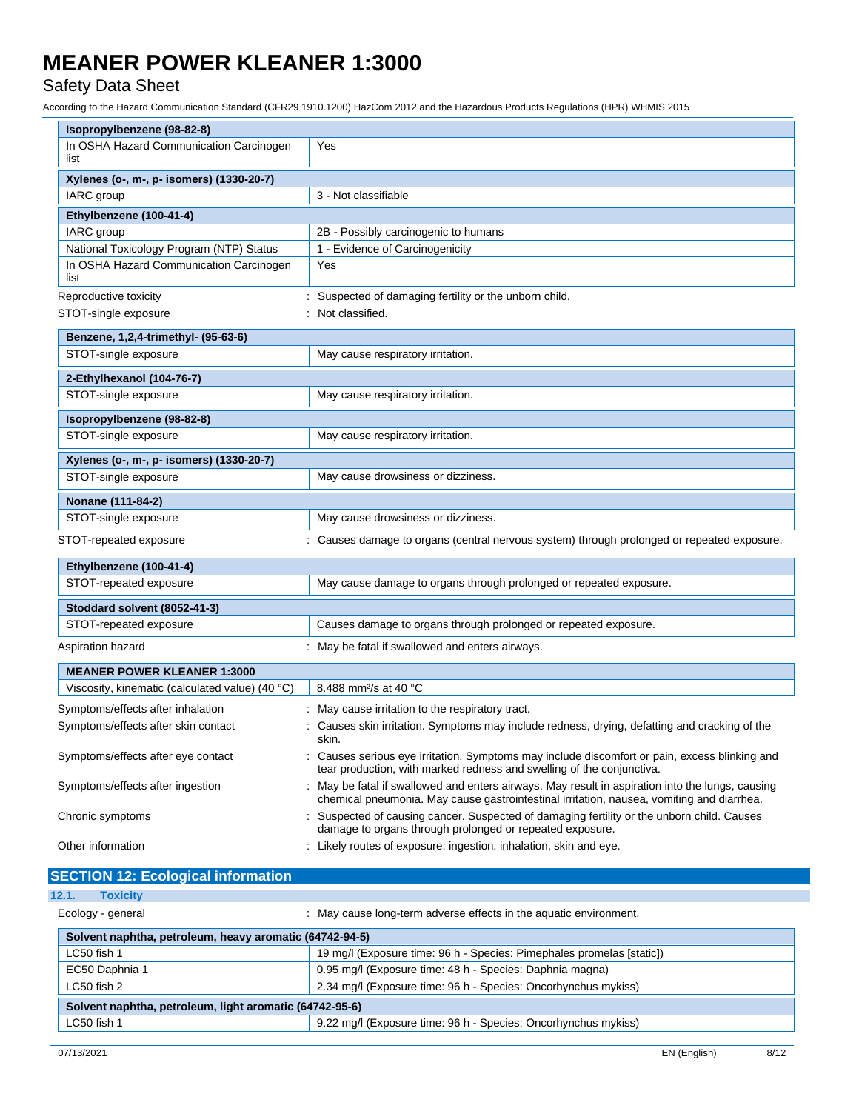## Safety Data Sheet

| Isopropylbenzene (98-82-8)                      |                                                                                                                                                                                               |  |
|-------------------------------------------------|-----------------------------------------------------------------------------------------------------------------------------------------------------------------------------------------------|--|
| In OSHA Hazard Communication Carcinogen<br>list | Yes                                                                                                                                                                                           |  |
| Xylenes (o-, m-, p- isomers) (1330-20-7)        |                                                                                                                                                                                               |  |
| IARC group                                      | 3 - Not classifiable                                                                                                                                                                          |  |
| Ethylbenzene (100-41-4)                         |                                                                                                                                                                                               |  |
| IARC group                                      | 2B - Possibly carcinogenic to humans                                                                                                                                                          |  |
| National Toxicology Program (NTP) Status        | 1 - Evidence of Carcinogenicity                                                                                                                                                               |  |
| In OSHA Hazard Communication Carcinogen<br>list | Yes                                                                                                                                                                                           |  |
| Reproductive toxicity                           | : Suspected of damaging fertility or the unborn child.                                                                                                                                        |  |
| STOT-single exposure                            | : Not classified.                                                                                                                                                                             |  |
| Benzene, 1,2,4-trimethyl- (95-63-6)             |                                                                                                                                                                                               |  |
| STOT-single exposure                            | May cause respiratory irritation.                                                                                                                                                             |  |
| 2-Ethylhexanol (104-76-7)                       |                                                                                                                                                                                               |  |
| STOT-single exposure                            | May cause respiratory irritation.                                                                                                                                                             |  |
| Isopropylbenzene (98-82-8)                      |                                                                                                                                                                                               |  |
| STOT-single exposure                            | May cause respiratory irritation.                                                                                                                                                             |  |
| Xylenes (o-, m-, p- isomers) (1330-20-7)        |                                                                                                                                                                                               |  |
| STOT-single exposure                            | May cause drowsiness or dizziness.                                                                                                                                                            |  |
| Nonane (111-84-2)                               |                                                                                                                                                                                               |  |
| STOT-single exposure                            | May cause drowsiness or dizziness.                                                                                                                                                            |  |
| STOT-repeated exposure                          | : Causes damage to organs (central nervous system) through prolonged or repeated exposure.                                                                                                    |  |
| Ethylbenzene (100-41-4)                         |                                                                                                                                                                                               |  |
| STOT-repeated exposure                          | May cause damage to organs through prolonged or repeated exposure.                                                                                                                            |  |
| Stoddard solvent (8052-41-3)                    |                                                                                                                                                                                               |  |
| STOT-repeated exposure                          | Causes damage to organs through prolonged or repeated exposure.                                                                                                                               |  |
| Aspiration hazard                               | : May be fatal if swallowed and enters airways.                                                                                                                                               |  |
| <b>MEANER POWER KLEANER 1:3000</b>              |                                                                                                                                                                                               |  |
| Viscosity, kinematic (calculated value) (40 °C) | 8.488 mm <sup>2</sup> /s at 40 °C                                                                                                                                                             |  |
| Symptoms/effects after inhalation               | : May cause irritation to the respiratory tract.                                                                                                                                              |  |
| Symptoms/effects after skin contact             | Causes skin irritation. Symptoms may include redness, drying, defatting and cracking of the<br>skin.                                                                                          |  |
| Symptoms/effects after eye contact              | : Causes serious eye irritation. Symptoms may include discomfort or pain, excess blinking and<br>tear production, with marked redness and swelling of the conjunctiva.                        |  |
| Symptoms/effects after ingestion                | : May be fatal if swallowed and enters airways. May result in aspiration into the lungs, causing<br>chemical pneumonia. May cause gastrointestinal irritation, nausea, vomiting and diarrhea. |  |
| Chronic symptoms                                | : Suspected of causing cancer. Suspected of damaging fertility or the unborn child. Causes<br>damage to organs through prolonged or repeated exposure.                                        |  |
| Other information                               | : Likely routes of exposure: ingestion, inhalation, skin and eye.                                                                                                                             |  |
| <b>SECTION 12: Ecological information</b>       |                                                                                                                                                                                               |  |

| <u>ULUTIUN TE. LUURURUM MIUHIMUUTI</u>                  |                                                                       |  |
|---------------------------------------------------------|-----------------------------------------------------------------------|--|
| 12.1.<br><b>Toxicity</b>                                |                                                                       |  |
| Ecology - general                                       | : May cause long-term adverse effects in the aquatic environment.     |  |
| Solvent naphtha, petroleum, heavy aromatic (64742-94-5) |                                                                       |  |
| LC50 fish 1                                             | 19 mg/l (Exposure time: 96 h - Species: Pimephales promelas [static]) |  |
| EC50 Daphnia 1                                          | 0.95 mg/l (Exposure time: 48 h - Species: Daphnia magna)              |  |
| LC50 fish 2                                             | 2.34 mg/l (Exposure time: 96 h - Species: Oncorhynchus mykiss)        |  |
| Solvent naphtha, petroleum, light aromatic (64742-95-6) |                                                                       |  |
| LC50 fish 1                                             | 9.22 mg/l (Exposure time: 96 h - Species: Oncorhynchus mykiss)        |  |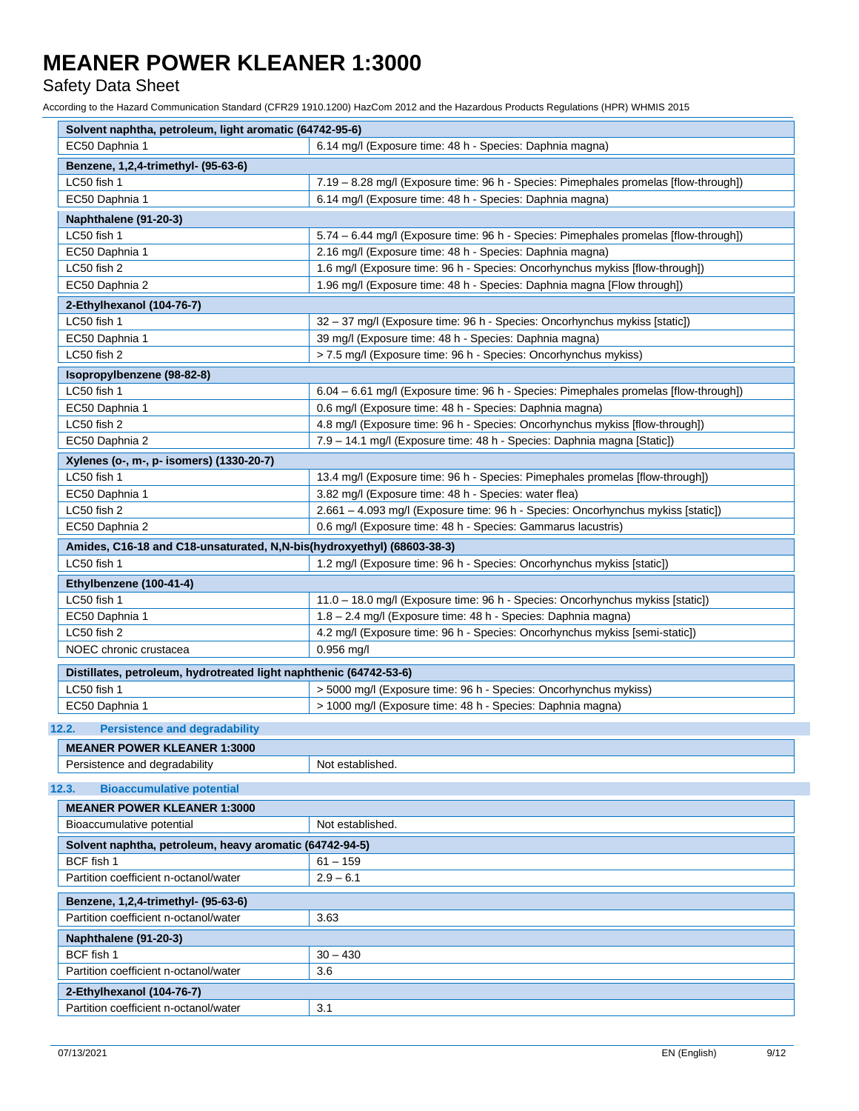### Safety Data Sheet

| Solvent naphtha, petroleum, light aromatic (64742-95-6)                |                                                                                      |
|------------------------------------------------------------------------|--------------------------------------------------------------------------------------|
| EC50 Daphnia 1                                                         | 6.14 mg/l (Exposure time: 48 h - Species: Daphnia magna)                             |
| Benzene, 1,2,4-trimethyl- (95-63-6)                                    |                                                                                      |
| LC50 fish 1                                                            | 7.19 - 8.28 mg/l (Exposure time: 96 h - Species: Pimephales promelas [flow-through]) |
| EC50 Daphnia 1                                                         | 6.14 mg/l (Exposure time: 48 h - Species: Daphnia magna)                             |
| Naphthalene (91-20-3)                                                  |                                                                                      |
| LC50 fish 1                                                            | 5.74 - 6.44 mg/l (Exposure time: 96 h - Species: Pimephales promelas [flow-through]) |
| EC50 Daphnia 1                                                         | 2.16 mg/l (Exposure time: 48 h - Species: Daphnia magna)                             |
| LC50 fish 2                                                            | 1.6 mg/l (Exposure time: 96 h - Species: Oncorhynchus mykiss [flow-through])         |
| EC50 Daphnia 2                                                         | 1.96 mg/l (Exposure time: 48 h - Species: Daphnia magna [Flow through])              |
| 2-Ethylhexanol (104-76-7)                                              |                                                                                      |
| LC50 fish 1                                                            | 32 - 37 mg/l (Exposure time: 96 h - Species: Oncorhynchus mykiss [static])           |
| EC50 Daphnia 1                                                         | 39 mg/l (Exposure time: 48 h - Species: Daphnia magna)                               |
| LC50 fish 2                                                            | > 7.5 mg/l (Exposure time: 96 h - Species: Oncorhynchus mykiss)                      |
| Isopropylbenzene (98-82-8)                                             |                                                                                      |
| LC50 fish 1                                                            | 6.04 - 6.61 mg/l (Exposure time: 96 h - Species: Pimephales promelas [flow-through]) |
| EC50 Daphnia 1                                                         | 0.6 mg/l (Exposure time: 48 h - Species: Daphnia magna)                              |
| LC50 fish 2                                                            | 4.8 mg/l (Exposure time: 96 h - Species: Oncorhynchus mykiss [flow-through])         |
| EC50 Daphnia 2                                                         | 7.9 - 14.1 mg/l (Exposure time: 48 h - Species: Daphnia magna [Static])              |
| Xylenes (o-, m-, p- isomers) (1330-20-7)                               |                                                                                      |
| LC50 fish 1                                                            | 13.4 mg/l (Exposure time: 96 h - Species: Pimephales promelas [flow-through])        |
| EC50 Daphnia 1                                                         | 3.82 mg/l (Exposure time: 48 h - Species: water flea)                                |
| LC50 fish 2                                                            | 2.661 - 4.093 mg/l (Exposure time: 96 h - Species: Oncorhynchus mykiss [static])     |
| EC50 Daphnia 2                                                         | 0.6 mg/l (Exposure time: 48 h - Species: Gammarus lacustris)                         |
| Amides, C16-18 and C18-unsaturated, N,N-bis(hydroxyethyl) (68603-38-3) |                                                                                      |
| LC50 fish 1                                                            | 1.2 mg/l (Exposure time: 96 h - Species: Oncorhynchus mykiss [static])               |
| Ethylbenzene (100-41-4)                                                |                                                                                      |
| LC50 fish 1                                                            | 11.0 - 18.0 mg/l (Exposure time: 96 h - Species: Oncorhynchus mykiss [static])       |
| EC50 Daphnia 1                                                         | 1.8 - 2.4 mg/l (Exposure time: 48 h - Species: Daphnia magna)                        |
| LC50 fish 2                                                            | 4.2 mg/l (Exposure time: 96 h - Species: Oncorhynchus mykiss [semi-static])          |
| NOEC chronic crustacea                                                 | $0.956$ mg/l                                                                         |
|                                                                        |                                                                                      |
| Distillates, petroleum, hydrotreated light naphthenic (64742-53-6)     |                                                                                      |
| LC50 fish 1                                                            | > 5000 mg/l (Exposure time: 96 h - Species: Oncorhynchus mykiss)                     |
| EC50 Daphnia 1                                                         | > 1000 mg/l (Exposure time: 48 h - Species: Daphnia magna)                           |
| 12.2.<br><b>Persistence and degradability</b>                          |                                                                                      |
| <b>MEANER POWER KLEANER 1:3000</b>                                     |                                                                                      |
| Persistence and degradability                                          | Not established.                                                                     |
| <b>Bioaccumulative potential</b><br>12.3.                              |                                                                                      |
| <b>MEANER POWER KLEANER 1:3000</b>                                     |                                                                                      |
| Bioaccumulative potential                                              | Not established.                                                                     |
|                                                                        |                                                                                      |
| Solvent naphtha, petroleum, heavy aromatic (64742-94-5)                |                                                                                      |
| BCF fish 1                                                             | $61 - 159$                                                                           |
| Partition coefficient n-octanol/water                                  | $2.9 - 6.1$                                                                          |
| Benzene, 1,2,4-trimethyl- (95-63-6)                                    |                                                                                      |
| Partition coefficient n-octanol/water                                  | 3.63                                                                                 |
| Naphthalene (91-20-3)                                                  |                                                                                      |
| BCF fish 1                                                             | $30 - 430$                                                                           |
| Partition coefficient n-octanol/water                                  | 3.6                                                                                  |
| 2-Ethylhexanol (104-76-7)                                              |                                                                                      |
| Partition coefficient n-octanol/water                                  | 3.1                                                                                  |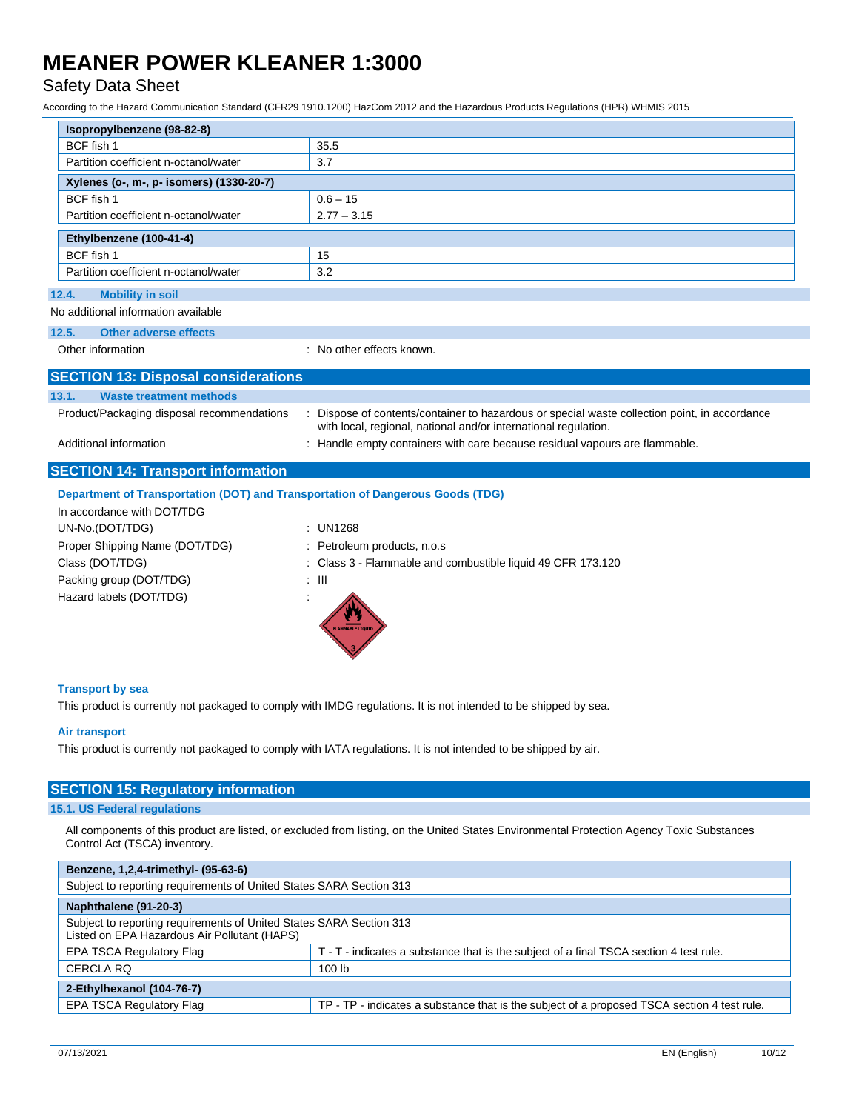## Safety Data Sheet

According to the Hazard Communication Standard (CFR29 1910.1200) HazCom 2012 and the Hazardous Products Regulations (HPR) WHMIS 2015

| Isopropylbenzene (98-82-8)                                                     |                                                                                                                                                                  |  |
|--------------------------------------------------------------------------------|------------------------------------------------------------------------------------------------------------------------------------------------------------------|--|
| BCF fish 1                                                                     | 35.5                                                                                                                                                             |  |
| Partition coefficient n-octanol/water                                          | 3.7                                                                                                                                                              |  |
| Xylenes (o-, m-, p- isomers) (1330-20-7)                                       |                                                                                                                                                                  |  |
| BCF fish 1                                                                     | $0.6 - 15$                                                                                                                                                       |  |
| Partition coefficient n-octanol/water                                          | $2.77 - 3.15$                                                                                                                                                    |  |
| Ethylbenzene (100-41-4)                                                        |                                                                                                                                                                  |  |
| BCF fish 1                                                                     | 15                                                                                                                                                               |  |
| Partition coefficient n-octanol/water                                          | 3.2                                                                                                                                                              |  |
| 12.4.<br><b>Mobility in soil</b>                                               |                                                                                                                                                                  |  |
| No additional information available                                            |                                                                                                                                                                  |  |
| 12.5.<br>Other adverse effects                                                 |                                                                                                                                                                  |  |
| Other information                                                              | : No other effects known.                                                                                                                                        |  |
|                                                                                |                                                                                                                                                                  |  |
| <b>SECTION 13: Disposal considerations</b>                                     |                                                                                                                                                                  |  |
| 13.1.<br><b>Waste treatment methods</b>                                        |                                                                                                                                                                  |  |
| Product/Packaging disposal recommendations                                     | : Dispose of contents/container to hazardous or special waste collection point, in accordance<br>with local, regional, national and/or international regulation. |  |
| Additional information                                                         | : Handle empty containers with care because residual vapours are flammable.                                                                                      |  |
|                                                                                |                                                                                                                                                                  |  |
| <b>SECTION 14: Transport information</b>                                       |                                                                                                                                                                  |  |
| Department of Transportation (DOT) and Transportation of Dangerous Goods (TDG) |                                                                                                                                                                  |  |
| In accordance with DOT/TDG                                                     |                                                                                                                                                                  |  |
| UN-No.(DOT/TDG)                                                                | : UN1268                                                                                                                                                         |  |
| Proper Shipping Name (DOT/TDG)                                                 | : Petroleum products, n.o.s                                                                                                                                      |  |
| Class (DOT/TDG)                                                                | : Class 3 - Flammable and combustible liquid 49 CFR 173.120                                                                                                      |  |
| Packing group (DOT/TDG)                                                        | $: \mathbb{H}$                                                                                                                                                   |  |
| Hazard labels (DOT/TDG)                                                        |                                                                                                                                                                  |  |

#### **Transport by sea**

This product is currently not packaged to comply with IMDG regulations. It is not intended to be shipped by sea.

#### **Air transport**

This product is currently not packaged to comply with IATA regulations. It is not intended to be shipped by air.

### **SECTION 15: Regulatory information**

#### **15.1. US Federal regulations**

All components of this product are listed, or excluded from listing, on the United States Environmental Protection Agency Toxic Substances Control Act (TSCA) inventory.

| Benzene, 1,2,4-trimethyl- (95-63-6)                                                                                 |                                                                                             |  |
|---------------------------------------------------------------------------------------------------------------------|---------------------------------------------------------------------------------------------|--|
| Subject to reporting requirements of United States SARA Section 313                                                 |                                                                                             |  |
| Naphthalene (91-20-3)                                                                                               |                                                                                             |  |
| Subject to reporting requirements of United States SARA Section 313<br>Listed on EPA Hazardous Air Pollutant (HAPS) |                                                                                             |  |
| <b>EPA TSCA Regulatory Flag</b>                                                                                     | T - T - indicates a substance that is the subject of a final TSCA section 4 test rule.      |  |
| <b>CERCLA RQ</b>                                                                                                    | 100 <sub>lb</sub>                                                                           |  |
| 2-Ethylhexanol (104-76-7)                                                                                           |                                                                                             |  |
| <b>EPA TSCA Regulatory Flag</b>                                                                                     | TP - TP - indicates a substance that is the subject of a proposed TSCA section 4 test rule. |  |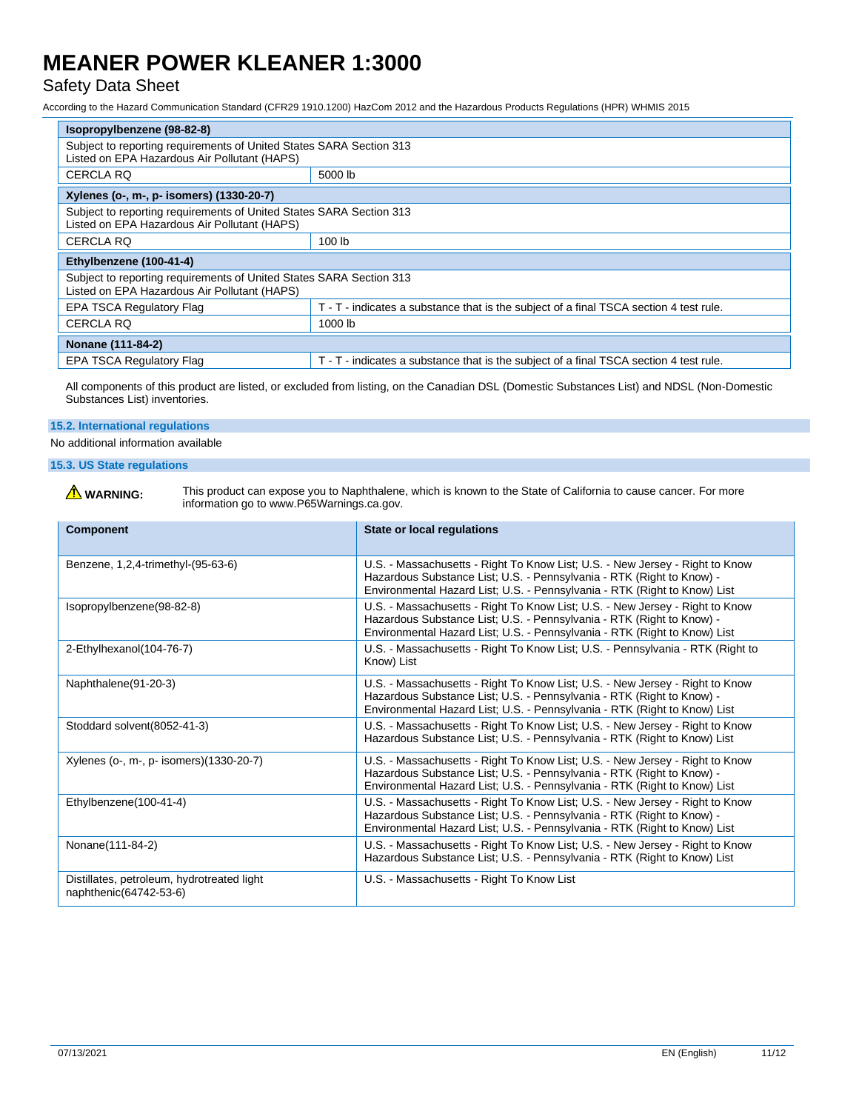## Safety Data Sheet

According to the Hazard Communication Standard (CFR29 1910.1200) HazCom 2012 and the Hazardous Products Regulations (HPR) WHMIS 2015

| Isopropylbenzene (98-82-8)                                                                                          |                                                                                        |
|---------------------------------------------------------------------------------------------------------------------|----------------------------------------------------------------------------------------|
| Subject to reporting requirements of United States SARA Section 313<br>Listed on EPA Hazardous Air Pollutant (HAPS) |                                                                                        |
| <b>CERCLA RQ</b>                                                                                                    | 5000 lb                                                                                |
| Xylenes (o-, m-, p- isomers) (1330-20-7)                                                                            |                                                                                        |
| Subject to reporting requirements of United States SARA Section 313<br>Listed on EPA Hazardous Air Pollutant (HAPS) |                                                                                        |
| <b>CERCLA RQ</b>                                                                                                    | 100 <sub>lb</sub>                                                                      |
| Ethylbenzene (100-41-4)                                                                                             |                                                                                        |
| Subject to reporting requirements of United States SARA Section 313<br>Listed on EPA Hazardous Air Pollutant (HAPS) |                                                                                        |
| <b>EPA TSCA Regulatory Flag</b>                                                                                     | T - T - indicates a substance that is the subject of a final TSCA section 4 test rule. |
| <b>CERCLA RQ</b>                                                                                                    | 1000 lb                                                                                |
| Nonane (111-84-2)                                                                                                   |                                                                                        |
| <b>EPA TSCA Regulatory Flag</b>                                                                                     | T - T - indicates a substance that is the subject of a final TSCA section 4 test rule. |

All components of this product are listed, or excluded from listing, on the Canadian DSL (Domestic Substances List) and NDSL (Non-Domestic Substances List) inventories.

#### **15.2. International regulations**

No additional information available

### **15.3. US State regulations**

WARNING: This product can expose you to Naphthalene, which is known to the State of California to cause cancer. For more<br>information go to www.P65Warnings.ca.gov.

| <b>Component</b>                                                     | <b>State or local regulations</b>                                                                                                                                                                                                  |
|----------------------------------------------------------------------|------------------------------------------------------------------------------------------------------------------------------------------------------------------------------------------------------------------------------------|
| Benzene, 1,2,4-trimethyl-(95-63-6)                                   | U.S. - Massachusetts - Right To Know List; U.S. - New Jersey - Right to Know<br>Hazardous Substance List; U.S. - Pennsylvania - RTK (Right to Know) -<br>Environmental Hazard List; U.S. - Pennsylvania - RTK (Right to Know) List |
| Isopropylbenzene(98-82-8)                                            | U.S. - Massachusetts - Right To Know List; U.S. - New Jersey - Right to Know<br>Hazardous Substance List; U.S. - Pennsylvania - RTK (Right to Know) -<br>Environmental Hazard List; U.S. - Pennsylvania - RTK (Right to Know) List |
| 2-Ethylhexanol(104-76-7)                                             | U.S. - Massachusetts - Right To Know List; U.S. - Pennsylvania - RTK (Right to<br>Know) List                                                                                                                                       |
| Naphthalene(91-20-3)                                                 | U.S. - Massachusetts - Right To Know List; U.S. - New Jersey - Right to Know<br>Hazardous Substance List; U.S. - Pennsylvania - RTK (Right to Know) -<br>Environmental Hazard List; U.S. - Pennsylvania - RTK (Right to Know) List |
| Stoddard solvent(8052-41-3)                                          | U.S. - Massachusetts - Right To Know List; U.S. - New Jersey - Right to Know<br>Hazardous Substance List; U.S. - Pennsylvania - RTK (Right to Know) List                                                                           |
| Xylenes (o-, m-, p- isomers) (1330-20-7)                             | U.S. - Massachusetts - Right To Know List; U.S. - New Jersey - Right to Know<br>Hazardous Substance List; U.S. - Pennsylvania - RTK (Right to Know) -<br>Environmental Hazard List; U.S. - Pennsylvania - RTK (Right to Know) List |
| Ethylbenzene(100-41-4)                                               | U.S. - Massachusetts - Right To Know List; U.S. - New Jersey - Right to Know<br>Hazardous Substance List; U.S. - Pennsylvania - RTK (Right to Know) -<br>Environmental Hazard List; U.S. - Pennsylvania - RTK (Right to Know) List |
| Nonane(111-84-2)                                                     | U.S. - Massachusetts - Right To Know List; U.S. - New Jersey - Right to Know<br>Hazardous Substance List; U.S. - Pennsylvania - RTK (Right to Know) List                                                                           |
| Distillates, petroleum, hydrotreated light<br>naphthenic(64742-53-6) | U.S. - Massachusetts - Right To Know List                                                                                                                                                                                          |